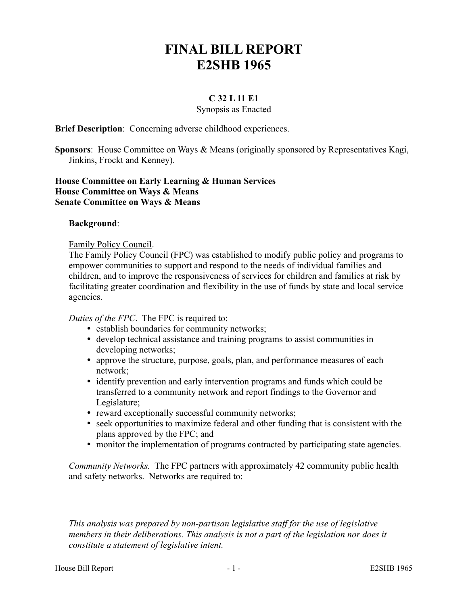# **FINAL BILL REPORT E2SHB 1965**

## **C 32 L 11 E1**

Synopsis as Enacted

**Brief Description**: Concerning adverse childhood experiences.

**Sponsors**: House Committee on Ways & Means (originally sponsored by Representatives Kagi, Jinkins, Frockt and Kenney).

#### **House Committee on Early Learning & Human Services House Committee on Ways & Means Senate Committee on Ways & Means**

#### **Background**:

Family Policy Council.

The Family Policy Council (FPC) was established to modify public policy and programs to empower communities to support and respond to the needs of individual families and children, and to improve the responsiveness of services for children and families at risk by facilitating greater coordination and flexibility in the use of funds by state and local service agencies.

*Duties of the FPC*. The FPC is required to:

- establish boundaries for community networks;
- develop technical assistance and training programs to assist communities in developing networks;
- approve the structure, purpose, goals, plan, and performance measures of each network;
- identify prevention and early intervention programs and funds which could be transferred to a community network and report findings to the Governor and Legislature;
- reward exceptionally successful community networks;
- seek opportunities to maximize federal and other funding that is consistent with the plans approved by the FPC; and
- monitor the implementation of programs contracted by participating state agencies.

*Community Networks.* The FPC partners with approximately 42 community public health and safety networks. Networks are required to:

––––––––––––––––––––––

*This analysis was prepared by non-partisan legislative staff for the use of legislative members in their deliberations. This analysis is not a part of the legislation nor does it constitute a statement of legislative intent.*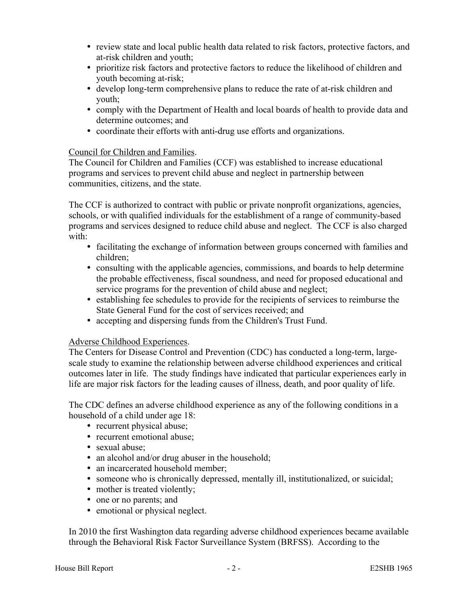- review state and local public health data related to risk factors, protective factors, and at-risk children and youth;
- prioritize risk factors and protective factors to reduce the likelihood of children and youth becoming at-risk;
- develop long-term comprehensive plans to reduce the rate of at-risk children and youth;
- comply with the Department of Health and local boards of health to provide data and determine outcomes; and
- coordinate their efforts with anti-drug use efforts and organizations.

## Council for Children and Families.

The Council for Children and Families (CCF) was established to increase educational programs and services to prevent child abuse and neglect in partnership between communities, citizens, and the state.

The CCF is authorized to contract with public or private nonprofit organizations, agencies, schools, or with qualified individuals for the establishment of a range of community-based programs and services designed to reduce child abuse and neglect. The CCF is also charged with:

- facilitating the exchange of information between groups concerned with families and children;
- consulting with the applicable agencies, commissions, and boards to help determine the probable effectiveness, fiscal soundness, and need for proposed educational and service programs for the prevention of child abuse and neglect;
- establishing fee schedules to provide for the recipients of services to reimburse the State General Fund for the cost of services received; and
- accepting and dispersing funds from the Children's Trust Fund.

## Adverse Childhood Experiences.

The Centers for Disease Control and Prevention (CDC) has conducted a long-term, largescale study to examine the relationship between adverse childhood experiences and critical outcomes later in life. The study findings have indicated that particular experiences early in life are major risk factors for the leading causes of illness, death, and poor quality of life.

The CDC defines an adverse childhood experience as any of the following conditions in a household of a child under age 18:

- recurrent physical abuse;
- recurrent emotional abuse;
- sexual abuse;
- an alcohol and/or drug abuser in the household;
- an incarcerated household member;
- someone who is chronically depressed, mentally ill, institutionalized, or suicidal;
- mother is treated violently;
- one or no parents; and
- emotional or physical neglect.

In 2010 the first Washington data regarding adverse childhood experiences became available through the Behavioral Risk Factor Surveillance System (BRFSS). According to the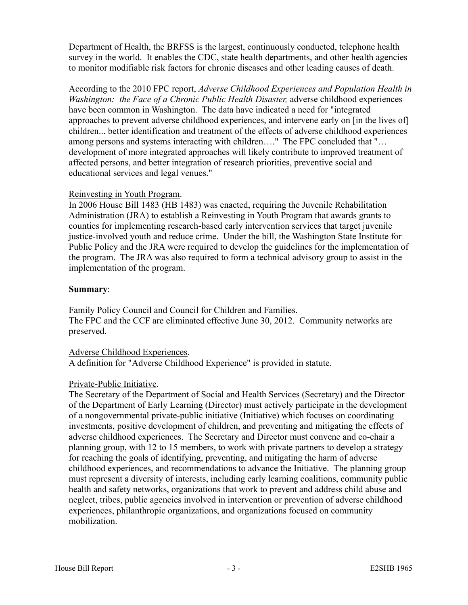Department of Health, the BRFSS is the largest, continuously conducted, telephone health survey in the world. It enables the CDC, state health departments, and other health agencies to monitor modifiable risk factors for chronic diseases and other leading causes of death.

According to the 2010 FPC report, *Adverse Childhood Experiences and Population Health in Washington: the Face of a Chronic Public Health Disaster,* adverse childhood experiences have been common in Washington. The data have indicated a need for "integrated approaches to prevent adverse childhood experiences, and intervene early on [in the lives of] children... better identification and treatment of the effects of adverse childhood experiences among persons and systems interacting with children…." The FPC concluded that "… development of more integrated approaches will likely contribute to improved treatment of affected persons, and better integration of research priorities, preventive social and educational services and legal venues."

#### Reinvesting in Youth Program.

In 2006 House Bill 1483 (HB 1483) was enacted, requiring the Juvenile Rehabilitation Administration (JRA) to establish a Reinvesting in Youth Program that awards grants to counties for implementing research-based early intervention services that target juvenile justice-involved youth and reduce crime. Under the bill, the Washington State Institute for Public Policy and the JRA were required to develop the guidelines for the implementation of the program. The JRA was also required to form a technical advisory group to assist in the implementation of the program.

### **Summary**:

Family Policy Council and Council for Children and Families. The FPC and the CCF are eliminated effective June 30, 2012. Community networks are preserved.

### Adverse Childhood Experiences.

A definition for "Adverse Childhood Experience" is provided in statute.

## Private-Public Initiative.

The Secretary of the Department of Social and Health Services (Secretary) and the Director of the Department of Early Learning (Director) must actively participate in the development of a nongovernmental private-public initiative (Initiative) which focuses on coordinating investments, positive development of children, and preventing and mitigating the effects of adverse childhood experiences. The Secretary and Director must convene and co-chair a planning group, with 12 to 15 members, to work with private partners to develop a strategy for reaching the goals of identifying, preventing, and mitigating the harm of adverse childhood experiences, and recommendations to advance the Initiative. The planning group must represent a diversity of interests, including early learning coalitions, community public health and safety networks, organizations that work to prevent and address child abuse and neglect, tribes, public agencies involved in intervention or prevention of adverse childhood experiences, philanthropic organizations, and organizations focused on community mobilization.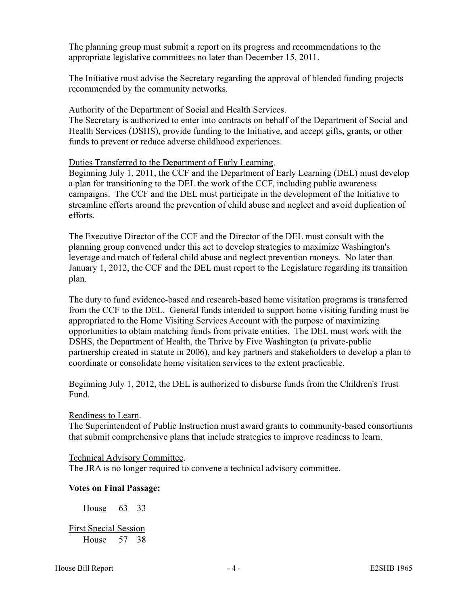The planning group must submit a report on its progress and recommendations to the appropriate legislative committees no later than December 15, 2011.

The Initiative must advise the Secretary regarding the approval of blended funding projects recommended by the community networks.

Authority of the Department of Social and Health Services.

The Secretary is authorized to enter into contracts on behalf of the Department of Social and Health Services (DSHS), provide funding to the Initiative, and accept gifts, grants, or other funds to prevent or reduce adverse childhood experiences.

Duties Transferred to the Department of Early Learning.

Beginning July 1, 2011, the CCF and the Department of Early Learning (DEL) must develop a plan for transitioning to the DEL the work of the CCF, including public awareness campaigns. The CCF and the DEL must participate in the development of the Initiative to streamline efforts around the prevention of child abuse and neglect and avoid duplication of efforts.

The Executive Director of the CCF and the Director of the DEL must consult with the planning group convened under this act to develop strategies to maximize Washington's leverage and match of federal child abuse and neglect prevention moneys. No later than January 1, 2012, the CCF and the DEL must report to the Legislature regarding its transition plan.

The duty to fund evidence-based and research-based home visitation programs is transferred from the CCF to the DEL. General funds intended to support home visiting funding must be appropriated to the Home Visiting Services Account with the purpose of maximizing opportunities to obtain matching funds from private entities. The DEL must work with the DSHS, the Department of Health, the Thrive by Five Washington (a private-public partnership created in statute in 2006), and key partners and stakeholders to develop a plan to coordinate or consolidate home visitation services to the extent practicable.

Beginning July 1, 2012, the DEL is authorized to disburse funds from the Children's Trust Fund.

Readiness to Learn.

The Superintendent of Public Instruction must award grants to community-based consortiums that submit comprehensive plans that include strategies to improve readiness to learn.

#### Technical Advisory Committee.

The JRA is no longer required to convene a technical advisory committee.

#### **Votes on Final Passage:**

House 63 33

First Special Session House 57 38